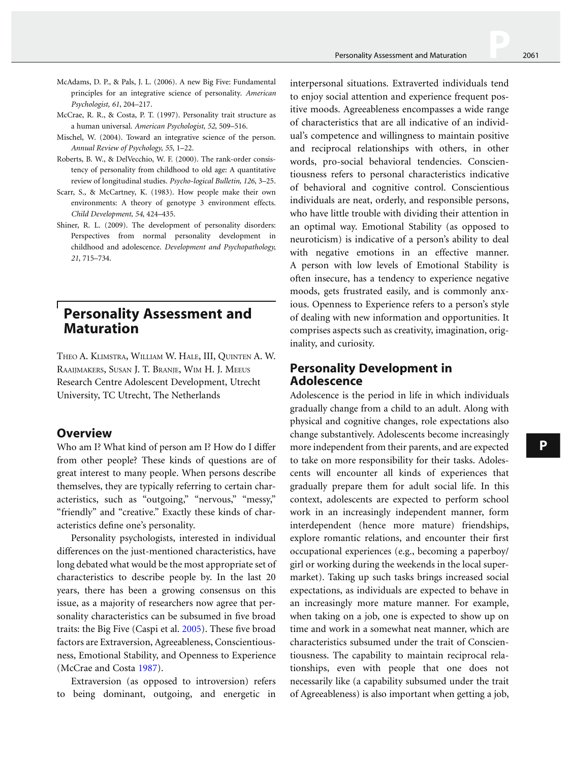- McAdams, D. P., & Pals, J. L. (2006). A new Big Five: Fundamental principles for an integrative science of personality. American Psychologist, 61, 204–217.
- McCrae, R. R., & Costa, P. T. (1997). Personality trait structure as a human universal. American Psychologist, 52, 509–516.
- Mischel, W. (2004). Toward an integrative science of the person. Annual Review of Psychology, 55, 1–22.
- Roberts, B. W., & DelVecchio, W. F. (2000). The rank-order consistency of personality from childhood to old age: A quantitative review of longitudinal studies. Psycho-logical Bulletin, 126, 3–25.
- Scarr, S., & McCartney, K. (1983). How people make their own environments: A theory of genotype 3 environment effects. Child Development, 54, 424–435.
- Shiner, R. L. (2009). The development of personality disorders: Perspectives from normal personality development in childhood and adolescence. Development and Psychopathology, 21, 715–734.

# Personality Assessment and Maturation

THEO A. KLIMSTRA, WILLIAM W. HALE, III, QUINTEN A. W. RAAIJMAKERS, SUSAN J. T. BRANJE, WIM H. J. MEEUS Research Centre Adolescent Development, Utrecht University, TC Utrecht, The Netherlands

#### **Overview**

Who am I? What kind of person am I? How do I differ from other people? These kinds of questions are of great interest to many people. When persons describe themselves, they are typically referring to certain characteristics, such as "outgoing," "nervous," "messy," "friendly" and "creative." Exactly these kinds of characteristics define one's personality.

Personality psychologists, interested in individual differences on the just-mentioned characteristics, have long debated what would be the most appropriate set of characteristics to describe people by. In the last 20 years, there has been a growing consensus on this issue, as a majority of researchers now agree that personality characteristics can be subsumed in five broad traits: the Big Five (Caspi et al. 2005). These five broad factors are Extraversion, Agreeableness, Conscientiousness, Emotional Stability, and Openness to Experience (McCrae and Costa 1987).

Extraversion (as opposed to introversion) refers to being dominant, outgoing, and energetic in interpersonal situations. Extraverted individuals tend to enjoy social attention and experience frequent positive moods. Agreeableness encompasses a wide range of characteristics that are all indicative of an individual's competence and willingness to maintain positive and reciprocal relationships with others, in other words, pro-social behavioral tendencies. Conscientiousness refers to personal characteristics indicative of behavioral and cognitive control. Conscientious individuals are neat, orderly, and responsible persons, who have little trouble with dividing their attention in an optimal way. Emotional Stability (as opposed to neuroticism) is indicative of a person's ability to deal with negative emotions in an effective manner. A person with low levels of Emotional Stability is often insecure, has a tendency to experience negative moods, gets frustrated easily, and is commonly anxious. Openness to Experience refers to a person's style of dealing with new information and opportunities. It comprises aspects such as creativity, imagination, originality, and curiosity.

#### Personality Development in Adolescence

Adolescence is the period in life in which individuals gradually change from a child to an adult. Along with physical and cognitive changes, role expectations also change substantively. Adolescents become increasingly more independent from their parents, and are expected to take on more responsibility for their tasks. Adolescents will encounter all kinds of experiences that gradually prepare them for adult social life. In this context, adolescents are expected to perform school work in an increasingly independent manner, form interdependent (hence more mature) friendships, explore romantic relations, and encounter their first occupational experiences (e.g., becoming a paperboy/ girl or working during the weekends in the local supermarket). Taking up such tasks brings increased social expectations, as individuals are expected to behave in an increasingly more mature manner. For example, when taking on a job, one is expected to show up on time and work in a somewhat neat manner, which are characteristics subsumed under the trait of Conscientiousness. The capability to maintain reciprocal relationships, even with people that one does not necessarily like (a capability subsumed under the trait of Agreeableness) is also important when getting a job,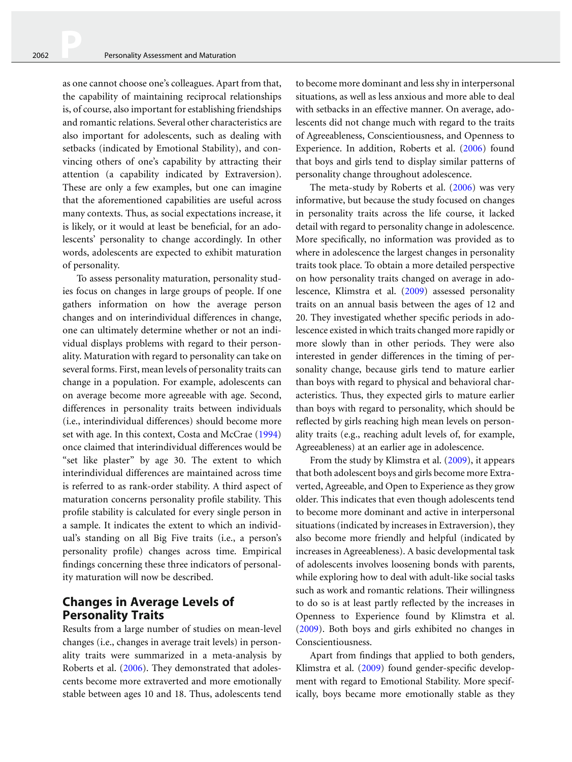as one cannot choose one's colleagues. Apart from that, the capability of maintaining reciprocal relationships is, of course, also important for establishing friendships and romantic relations. Several other characteristics are also important for adolescents, such as dealing with setbacks (indicated by Emotional Stability), and convincing others of one's capability by attracting their attention (a capability indicated by Extraversion). These are only a few examples, but one can imagine that the aforementioned capabilities are useful across many contexts. Thus, as social expectations increase, it is likely, or it would at least be beneficial, for an adolescents' personality to change accordingly. In other words, adolescents are expected to exhibit maturation of personality.

To assess personality maturation, personality studies focus on changes in large groups of people. If one gathers information on how the average person changes and on interindividual differences in change, one can ultimately determine whether or not an individual displays problems with regard to their personality. Maturation with regard to personality can take on several forms. First, mean levels of personality traits can change in a population. For example, adolescents can on average become more agreeable with age. Second, differences in personality traits between individuals (i.e., interindividual differences) should become more set with age. In this context, Costa and McCrae (1994) once claimed that interindividual differences would be "set like plaster" by age 30. The extent to which interindividual differences are maintained across time is referred to as rank-order stability. A third aspect of maturation concerns personality profile stability. This profile stability is calculated for every single person in a sample. It indicates the extent to which an individual's standing on all Big Five traits (i.e., a person's personality profile) changes across time. Empirical findings concerning these three indicators of personality maturation will now be described.

#### Changes in Average Levels of Personality Traits

Results from a large number of studies on mean-level changes (i.e., changes in average trait levels) in personality traits were summarized in a meta-analysis by Roberts et al. (2006). They demonstrated that adolescents become more extraverted and more emotionally stable between ages 10 and 18. Thus, adolescents tend to become more dominant and less shy in interpersonal situations, as well as less anxious and more able to deal with setbacks in an effective manner. On average, adolescents did not change much with regard to the traits of Agreeableness, Conscientiousness, and Openness to Experience. In addition, Roberts et al. (2006) found that boys and girls tend to display similar patterns of personality change throughout adolescence.

The meta-study by Roberts et al. (2006) was very informative, but because the study focused on changes in personality traits across the life course, it lacked detail with regard to personality change in adolescence. More specifically, no information was provided as to where in adolescence the largest changes in personality traits took place. To obtain a more detailed perspective on how personality traits changed on average in adolescence, Klimstra et al. (2009) assessed personality traits on an annual basis between the ages of 12 and 20. They investigated whether specific periods in adolescence existed in which traits changed more rapidly or more slowly than in other periods. They were also interested in gender differences in the timing of personality change, because girls tend to mature earlier than boys with regard to physical and behavioral characteristics. Thus, they expected girls to mature earlier than boys with regard to personality, which should be reflected by girls reaching high mean levels on personality traits (e.g., reaching adult levels of, for example, Agreeableness) at an earlier age in adolescence.

From the study by Klimstra et al. (2009), it appears that both adolescent boys and girls become more Extraverted, Agreeable, and Open to Experience as they grow older. This indicates that even though adolescents tend to become more dominant and active in interpersonal situations (indicated by increases in Extraversion), they also become more friendly and helpful (indicated by increases in Agreeableness). A basic developmental task of adolescents involves loosening bonds with parents, while exploring how to deal with adult-like social tasks such as work and romantic relations. Their willingness to do so is at least partly reflected by the increases in Openness to Experience found by Klimstra et al. (2009). Both boys and girls exhibited no changes in Conscientiousness.

Apart from findings that applied to both genders, Klimstra et al. (2009) found gender-specific development with regard to Emotional Stability. More specifically, boys became more emotionally stable as they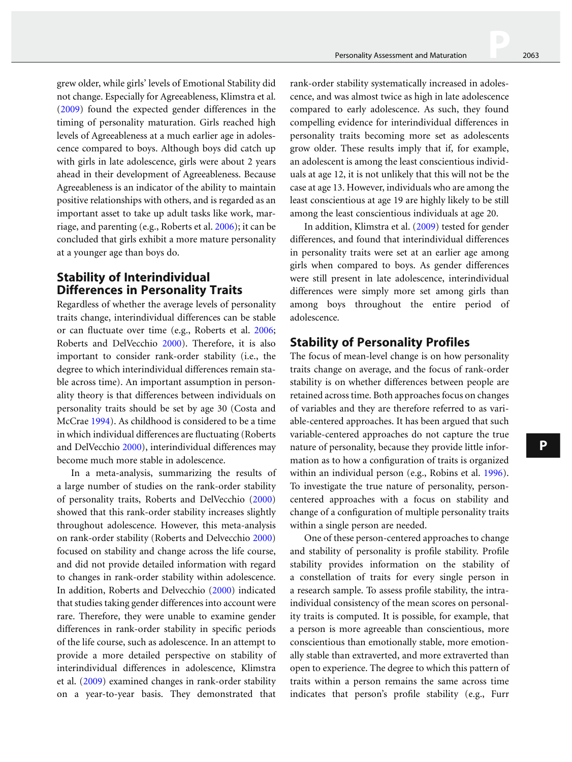grew older, while girls' levels of Emotional Stability did not change. Especially for Agreeableness, Klimstra et al. (2009) found the expected gender differences in the timing of personality maturation. Girls reached high levels of Agreeableness at a much earlier age in adolescence compared to boys. Although boys did catch up with girls in late adolescence, girls were about 2 years ahead in their development of Agreeableness. Because Agreeableness is an indicator of the ability to maintain positive relationships with others, and is regarded as an important asset to take up adult tasks like work, marriage, and parenting (e.g., Roberts et al. 2006); it can be concluded that girls exhibit a more mature personality at a younger age than boys do.

## Stability of Interindividual Differences in Personality Traits

Regardless of whether the average levels of personality traits change, interindividual differences can be stable or can fluctuate over time (e.g., Roberts et al. 2006; Roberts and DelVecchio 2000). Therefore, it is also important to consider rank-order stability (i.e., the degree to which interindividual differences remain stable across time). An important assumption in personality theory is that differences between individuals on personality traits should be set by age 30 (Costa and McCrae 1994). As childhood is considered to be a time in which individual differences are fluctuating (Roberts and DelVecchio 2000), interindividual differences may become much more stable in adolescence.

In a meta-analysis, summarizing the results of a large number of studies on the rank-order stability of personality traits, Roberts and DelVecchio (2000) showed that this rank-order stability increases slightly throughout adolescence. However, this meta-analysis on rank-order stability (Roberts and Delvecchio 2000) focused on stability and change across the life course, and did not provide detailed information with regard to changes in rank-order stability within adolescence. In addition, Roberts and Delvecchio (2000) indicated that studies taking gender differences into account were rare. Therefore, they were unable to examine gender differences in rank-order stability in specific periods of the life course, such as adolescence. In an attempt to provide a more detailed perspective on stability of interindividual differences in adolescence, Klimstra et al. (2009) examined changes in rank-order stability on a year-to-year basis. They demonstrated that

rank-order stability systematically increased in adolescence, and was almost twice as high in late adolescence compared to early adolescence. As such, they found compelling evidence for interindividual differences in personality traits becoming more set as adolescents grow older. These results imply that if, for example, an adolescent is among the least conscientious individuals at age 12, it is not unlikely that this will not be the case at age 13. However, individuals who are among the least conscientious at age 19 are highly likely to be still among the least conscientious individuals at age 20.

In addition, Klimstra et al. (2009) tested for gender differences, and found that interindividual differences in personality traits were set at an earlier age among girls when compared to boys. As gender differences were still present in late adolescence, interindividual differences were simply more set among girls than among boys throughout the entire period of adolescence.

#### Stability of Personality Profiles

The focus of mean-level change is on how personality traits change on average, and the focus of rank-order stability is on whether differences between people are retained across time. Both approaches focus on changes of variables and they are therefore referred to as variable-centered approaches. It has been argued that such variable-centered approaches do not capture the true nature of personality, because they provide little information as to how a configuration of traits is organized within an individual person (e.g., Robins et al. 1996). To investigate the true nature of personality, personcentered approaches with a focus on stability and change of a configuration of multiple personality traits within a single person are needed.

One of these person-centered approaches to change and stability of personality is profile stability. Profile stability provides information on the stability of a constellation of traits for every single person in a research sample. To assess profile stability, the intraindividual consistency of the mean scores on personality traits is computed. It is possible, for example, that a person is more agreeable than conscientious, more conscientious than emotionally stable, more emotionally stable than extraverted, and more extraverted than open to experience. The degree to which this pattern of traits within a person remains the same across time indicates that person's profile stability (e.g., Furr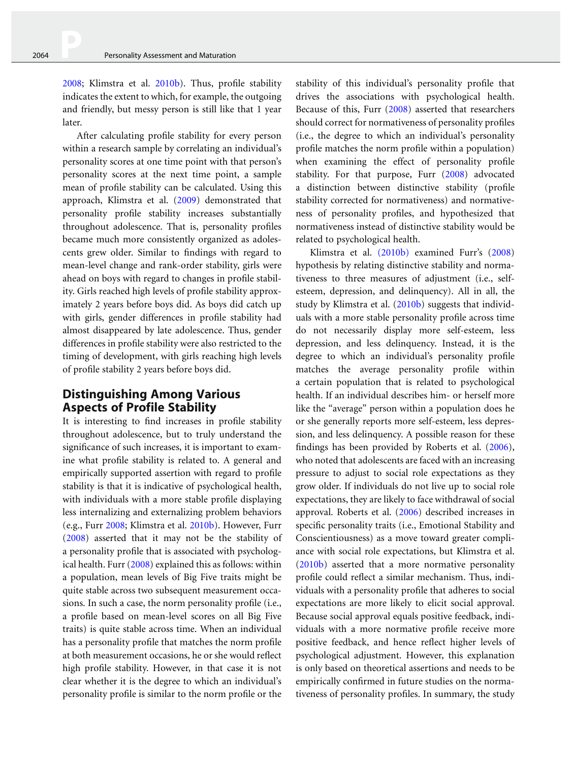2008; Klimstra et al. 2010b). Thus, profile stability indicates the extent to which, for example, the outgoing and friendly, but messy person is still like that 1 year later.

After calculating profile stability for every person within a research sample by correlating an individual's personality scores at one time point with that person's personality scores at the next time point, a sample mean of profile stability can be calculated. Using this approach, Klimstra et al. (2009) demonstrated that personality profile stability increases substantially throughout adolescence. That is, personality profiles became much more consistently organized as adolescents grew older. Similar to findings with regard to mean-level change and rank-order stability, girls were ahead on boys with regard to changes in profile stability. Girls reached high levels of profile stability approximately 2 years before boys did. As boys did catch up with girls, gender differences in profile stability had almost disappeared by late adolescence. Thus, gender differences in profile stability were also restricted to the timing of development, with girls reaching high levels of profile stability 2 years before boys did.

### Distinguishing Among Various Aspects of Profile Stability

It is interesting to find increases in profile stability throughout adolescence, but to truly understand the significance of such increases, it is important to examine what profile stability is related to. A general and empirically supported assertion with regard to profile stability is that it is indicative of psychological health, with individuals with a more stable profile displaying less internalizing and externalizing problem behaviors (e.g., Furr 2008; Klimstra et al. 2010b). However, Furr (2008) asserted that it may not be the stability of a personality profile that is associated with psychological health. Furr (2008) explained this as follows: within a population, mean levels of Big Five traits might be quite stable across two subsequent measurement occasions. In such a case, the norm personality profile (i.e., a profile based on mean-level scores on all Big Five traits) is quite stable across time. When an individual has a personality profile that matches the norm profile at both measurement occasions, he or she would reflect high profile stability. However, in that case it is not clear whether it is the degree to which an individual's personality profile is similar to the norm profile or the

stability of this individual's personality profile that drives the associations with psychological health. Because of this, Furr (2008) asserted that researchers should correct for normativeness of personality profiles (i.e., the degree to which an individual's personality profile matches the norm profile within a population) when examining the effect of personality profile stability. For that purpose, Furr (2008) advocated a distinction between distinctive stability (profile stability corrected for normativeness) and normativeness of personality profiles, and hypothesized that normativeness instead of distinctive stability would be related to psychological health.

Klimstra et al. (2010b) examined Furr's (2008) hypothesis by relating distinctive stability and normativeness to three measures of adjustment (i.e., selfesteem, depression, and delinquency). All in all, the study by Klimstra et al. (2010b) suggests that individuals with a more stable personality profile across time do not necessarily display more self-esteem, less depression, and less delinquency. Instead, it is the degree to which an individual's personality profile matches the average personality profile within a certain population that is related to psychological health. If an individual describes him- or herself more like the "average" person within a population does he or she generally reports more self-esteem, less depression, and less delinquency. A possible reason for these findings has been provided by Roberts et al. (2006), who noted that adolescents are faced with an increasing pressure to adjust to social role expectations as they grow older. If individuals do not live up to social role expectations, they are likely to face withdrawal of social approval. Roberts et al. (2006) described increases in specific personality traits (i.e., Emotional Stability and Conscientiousness) as a move toward greater compliance with social role expectations, but Klimstra et al. (2010b) asserted that a more normative personality profile could reflect a similar mechanism. Thus, individuals with a personality profile that adheres to social expectations are more likely to elicit social approval. Because social approval equals positive feedback, individuals with a more normative profile receive more positive feedback, and hence reflect higher levels of psychological adjustment. However, this explanation is only based on theoretical assertions and needs to be empirically confirmed in future studies on the normativeness of personality profiles. In summary, the study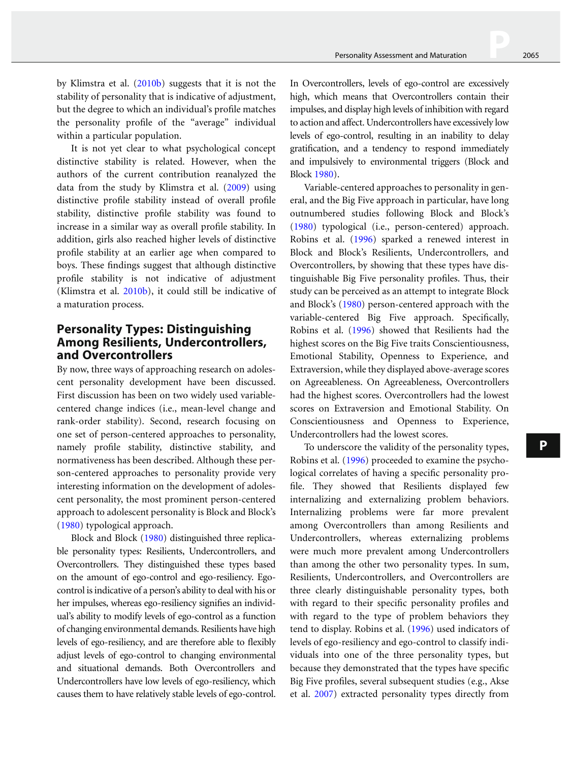by Klimstra et al. (2010b) suggests that it is not the stability of personality that is indicative of adjustment, but the degree to which an individual's profile matches the personality profile of the "average" individual within a particular population.

It is not yet clear to what psychological concept distinctive stability is related. However, when the authors of the current contribution reanalyzed the data from the study by Klimstra et al. (2009) using distinctive profile stability instead of overall profile stability, distinctive profile stability was found to increase in a similar way as overall profile stability. In addition, girls also reached higher levels of distinctive profile stability at an earlier age when compared to boys. These findings suggest that although distinctive profile stability is not indicative of adjustment (Klimstra et al. 2010b), it could still be indicative of a maturation process.

### Personality Types: Distinguishing Among Resilients, Undercontrollers, and Overcontrollers

By now, three ways of approaching research on adolescent personality development have been discussed. First discussion has been on two widely used variablecentered change indices (i.e., mean-level change and rank-order stability). Second, research focusing on one set of person-centered approaches to personality, namely profile stability, distinctive stability, and normativeness has been described. Although these person-centered approaches to personality provide very interesting information on the development of adolescent personality, the most prominent person-centered approach to adolescent personality is Block and Block's (1980) typological approach.

Block and Block (1980) distinguished three replicable personality types: Resilients, Undercontrollers, and Overcontrollers. They distinguished these types based on the amount of ego-control and ego-resiliency. Egocontrol is indicative of a person's ability to deal with his or her impulses, whereas ego-resiliency signifies an individual's ability to modify levels of ego-control as a function of changing environmental demands. Resilients have high levels of ego-resiliency, and are therefore able to flexibly adjust levels of ego-control to changing environmental and situational demands. Both Overcontrollers and Undercontrollers have low levels of ego-resiliency, which causes them to have relatively stable levels of ego-control.

In Overcontrollers, levels of ego-control are excessively high, which means that Overcontrollers contain their impulses, and display high levels of inhibition with regard to action and affect. Undercontrollers have excessively low levels of ego-control, resulting in an inability to delay gratification, and a tendency to respond immediately and impulsively to environmental triggers (Block and Block 1980).

Variable-centered approaches to personality in general, and the Big Five approach in particular, have long outnumbered studies following Block and Block's (1980) typological (i.e., person-centered) approach. Robins et al. (1996) sparked a renewed interest in Block and Block's Resilients, Undercontrollers, and Overcontrollers, by showing that these types have distinguishable Big Five personality profiles. Thus, their study can be perceived as an attempt to integrate Block and Block's (1980) person-centered approach with the variable-centered Big Five approach. Specifically, Robins et al. (1996) showed that Resilients had the highest scores on the Big Five traits Conscientiousness, Emotional Stability, Openness to Experience, and Extraversion, while they displayed above-average scores on Agreeableness. On Agreeableness, Overcontrollers had the highest scores. Overcontrollers had the lowest scores on Extraversion and Emotional Stability. On Conscientiousness and Openness to Experience, Undercontrollers had the lowest scores.

To underscore the validity of the personality types, Robins et al. (1996) proceeded to examine the psychological correlates of having a specific personality profile. They showed that Resilients displayed few internalizing and externalizing problem behaviors. Internalizing problems were far more prevalent among Overcontrollers than among Resilients and Undercontrollers, whereas externalizing problems were much more prevalent among Undercontrollers than among the other two personality types. In sum, Resilients, Undercontrollers, and Overcontrollers are three clearly distinguishable personality types, both with regard to their specific personality profiles and with regard to the type of problem behaviors they tend to display. Robins et al. (1996) used indicators of levels of ego-resiliency and ego-control to classify individuals into one of the three personality types, but because they demonstrated that the types have specific Big Five profiles, several subsequent studies (e.g., Akse et al. 2007) extracted personality types directly from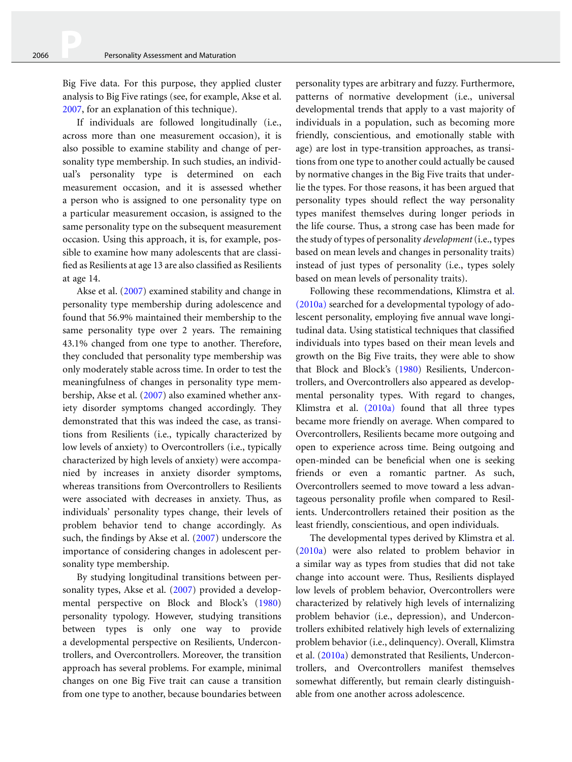Big Five data. For this purpose, they applied cluster analysis to Big Five ratings (see, for example, Akse et al. 2007, for an explanation of this technique).

If individuals are followed longitudinally (i.e., across more than one measurement occasion), it is also possible to examine stability and change of personality type membership. In such studies, an individual's personality type is determined on each measurement occasion, and it is assessed whether a person who is assigned to one personality type on a particular measurement occasion, is assigned to the same personality type on the subsequent measurement occasion. Using this approach, it is, for example, possible to examine how many adolescents that are classified as Resilients at age 13 are also classified as Resilients at age 14.

Akse et al. (2007) examined stability and change in personality type membership during adolescence and found that 56.9% maintained their membership to the same personality type over 2 years. The remaining 43.1% changed from one type to another. Therefore, they concluded that personality type membership was only moderately stable across time. In order to test the meaningfulness of changes in personality type membership, Akse et al. (2007) also examined whether anxiety disorder symptoms changed accordingly. They demonstrated that this was indeed the case, as transitions from Resilients (i.e., typically characterized by low levels of anxiety) to Overcontrollers (i.e., typically characterized by high levels of anxiety) were accompanied by increases in anxiety disorder symptoms, whereas transitions from Overcontrollers to Resilients were associated with decreases in anxiety. Thus, as individuals' personality types change, their levels of problem behavior tend to change accordingly. As such, the findings by Akse et al. (2007) underscore the importance of considering changes in adolescent personality type membership.

By studying longitudinal transitions between personality types, Akse et al. (2007) provided a developmental perspective on Block and Block's (1980) personality typology. However, studying transitions between types is only one way to provide a developmental perspective on Resilients, Undercontrollers, and Overcontrollers. Moreover, the transition approach has several problems. For example, minimal changes on one Big Five trait can cause a transition from one type to another, because boundaries between

personality types are arbitrary and fuzzy. Furthermore, patterns of normative development (i.e., universal developmental trends that apply to a vast majority of individuals in a population, such as becoming more friendly, conscientious, and emotionally stable with age) are lost in type-transition approaches, as transitions from one type to another could actually be caused by normative changes in the Big Five traits that underlie the types. For those reasons, it has been argued that personality types should reflect the way personality types manifest themselves during longer periods in the life course. Thus, a strong case has been made for the study of types of personality development (i.e., types based on mean levels and changes in personality traits) instead of just types of personality (i.e., types solely based on mean levels of personality traits).

Following these recommendations, Klimstra et al. (2010a) searched for a developmental typology of adolescent personality, employing five annual wave longitudinal data. Using statistical techniques that classified individuals into types based on their mean levels and growth on the Big Five traits, they were able to show that Block and Block's (1980) Resilients, Undercontrollers, and Overcontrollers also appeared as developmental personality types. With regard to changes, Klimstra et al. (2010a) found that all three types became more friendly on average. When compared to Overcontrollers, Resilients became more outgoing and open to experience across time. Being outgoing and open-minded can be beneficial when one is seeking friends or even a romantic partner. As such, Overcontrollers seemed to move toward a less advantageous personality profile when compared to Resilients. Undercontrollers retained their position as the least friendly, conscientious, and open individuals.

The developmental types derived by Klimstra et al. (2010a) were also related to problem behavior in a similar way as types from studies that did not take change into account were. Thus, Resilients displayed low levels of problem behavior, Overcontrollers were characterized by relatively high levels of internalizing problem behavior (i.e., depression), and Undercontrollers exhibited relatively high levels of externalizing problem behavior (i.e., delinquency). Overall, Klimstra et al. (2010a) demonstrated that Resilients, Undercontrollers, and Overcontrollers manifest themselves somewhat differently, but remain clearly distinguishable from one another across adolescence.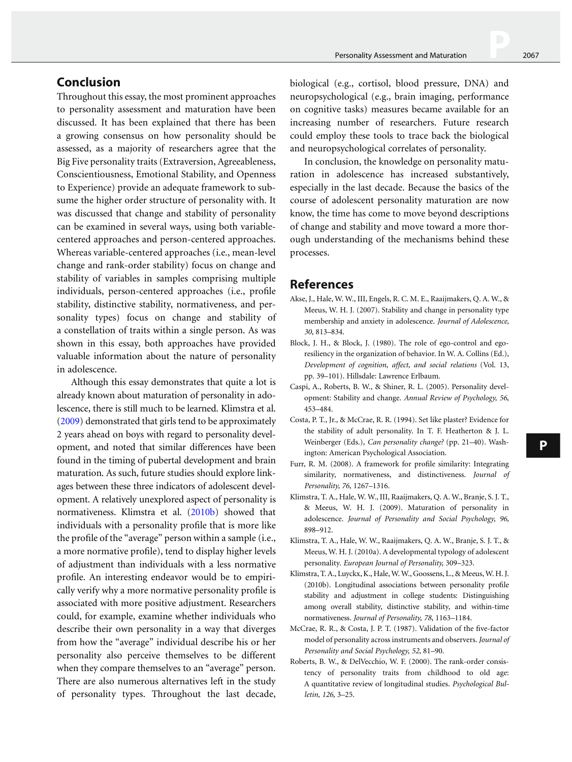# Conclusion

Throughout this essay, the most prominent approaches to personality assessment and maturation have been discussed. It has been explained that there has been a growing consensus on how personality should be assessed, as a majority of researchers agree that the Big Five personality traits (Extraversion, Agreeableness, Conscientiousness, Emotional Stability, and Openness to Experience) provide an adequate framework to subsume the higher order structure of personality with. It was discussed that change and stability of personality can be examined in several ways, using both variablecentered approaches and person-centered approaches. Whereas variable-centered approaches (i.e., mean-level change and rank-order stability) focus on change and stability of variables in samples comprising multiple individuals, person-centered approaches (i.e., profile stability, distinctive stability, normativeness, and personality types) focus on change and stability of a constellation of traits within a single person. As was shown in this essay, both approaches have provided valuable information about the nature of personality in adolescence.

Although this essay demonstrates that quite a lot is already known about maturation of personality in adolescence, there is still much to be learned. Klimstra et al. (2009) demonstrated that girls tend to be approximately 2 years ahead on boys with regard to personality development, and noted that similar differences have been found in the timing of pubertal development and brain maturation. As such, future studies should explore linkages between these three indicators of adolescent development. A relatively unexplored aspect of personality is normativeness. Klimstra et al. (2010b) showed that individuals with a personality profile that is more like the profile of the "average" person within a sample (i.e., a more normative profile), tend to display higher levels of adjustment than individuals with a less normative profile. An interesting endeavor would be to empirically verify why a more normative personality profile is associated with more positive adjustment. Researchers could, for example, examine whether individuals who describe their own personality in a way that diverges from how the "average" individual describe his or her personality also perceive themselves to be different when they compare themselves to an "average" person. There are also numerous alternatives left in the study of personality types. Throughout the last decade,

biological (e.g., cortisol, blood pressure, DNA) and neuropsychological (e.g., brain imaging, performance on cognitive tasks) measures became available for an increasing number of researchers. Future research could employ these tools to trace back the biological and neuropsychological correlates of personality.

In conclusion, the knowledge on personality maturation in adolescence has increased substantively, especially in the last decade. Because the basics of the course of adolescent personality maturation are now know, the time has come to move beyond descriptions of change and stability and move toward a more thorough understanding of the mechanisms behind these processes.

#### References

- Akse, J., Hale, W. W., III, Engels, R. C. M. E., Raaijmakers, Q. A. W., & Meeus, W. H. J. (2007). Stability and change in personality type membership and anxiety in adolescence. Journal of Adolescence, 30, 813–834.
- Block, J. H., & Block, J. (1980). The role of ego-control and egoresiliency in the organization of behavior. In W. A. Collins (Ed.), Development of cognition, affect, and social relations (Vol. 13, pp. 39–101). Hillsdale: Lawrence Erlbaum.
- Caspi, A., Roberts, B. W., & Shiner, R. L. (2005). Personality development: Stability and change. Annual Review of Psychology, 56, 453–484.
- Costa, P. T., Jr., & McCrae, R. R. (1994). Set like plaster? Evidence for the stability of adult personality. In T. F. Heatherton & J. L. Weinberger (Eds.), Can personality change? (pp. 21–40). Washington: American Psychological Association.
- Furr, R. M. (2008). A framework for profile similarity: Integrating similarity, normativeness, and distinctiveness. Journal of Personality, 76, 1267–1316.
- Klimstra, T. A., Hale, W. W., III, Raaijmakers, Q. A. W., Branje, S. J. T., & Meeus, W. H. J. (2009). Maturation of personality in adolescence. Journal of Personality and Social Psychology, 96, 898–912.
- Klimstra, T. A., Hale, W. W., Raaijmakers, Q. A. W., Branje, S. J. T., & Meeus, W. H. J. (2010a). A developmental typology of adolescent personality. European Journal of Personality, 309–323.
- Klimstra, T. A., Luyckx, K., Hale,W. W., Goossens, L., & Meeus, W. H. J. (2010b). Longitudinal associations between personality profile stability and adjustment in college students: Distinguishing among overall stability, distinctive stability, and within-time normativeness. Journal of Personality, 78, 1163–1184.
- McCrae, R. R., & Costa, J. P. T. (1987). Validation of the five-factor model of personality across instruments and observers. Journal of Personality and Social Psychology, 52, 81–90.
- Roberts, B. W., & DelVecchio, W. F. (2000). The rank-order consistency of personality traits from childhood to old age: A quantitative review of longitudinal studies. Psychological Bulletin, 126, 3–25.